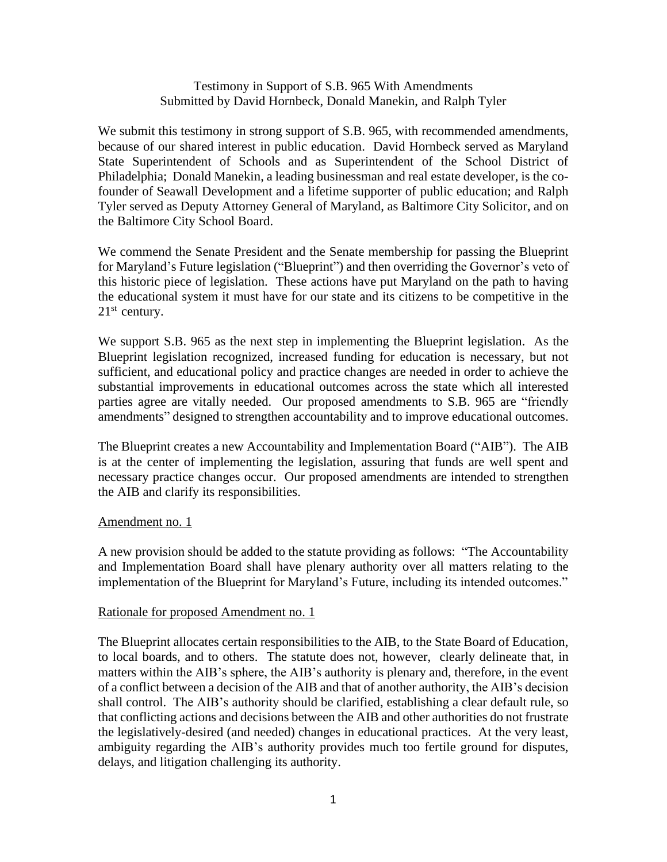## Testimony in Support of S.B. 965 With Amendments Submitted by David Hornbeck, Donald Manekin, and Ralph Tyler

We submit this testimony in strong support of S.B. 965, with recommended amendments, because of our shared interest in public education. David Hornbeck served as Maryland State Superintendent of Schools and as Superintendent of the School District of Philadelphia; Donald Manekin, a leading businessman and real estate developer, is the cofounder of Seawall Development and a lifetime supporter of public education; and Ralph Tyler served as Deputy Attorney General of Maryland, as Baltimore City Solicitor, and on the Baltimore City School Board.

We commend the Senate President and the Senate membership for passing the Blueprint for Maryland's Future legislation ("Blueprint") and then overriding the Governor's veto of this historic piece of legislation. These actions have put Maryland on the path to having the educational system it must have for our state and its citizens to be competitive in the  $21<sup>st</sup>$  century.

We support S.B. 965 as the next step in implementing the Blueprint legislation. As the Blueprint legislation recognized, increased funding for education is necessary, but not sufficient, and educational policy and practice changes are needed in order to achieve the substantial improvements in educational outcomes across the state which all interested parties agree are vitally needed. Our proposed amendments to S.B. 965 are "friendly amendments" designed to strengthen accountability and to improve educational outcomes.

The Blueprint creates a new Accountability and Implementation Board ("AIB"). The AIB is at the center of implementing the legislation, assuring that funds are well spent and necessary practice changes occur. Our proposed amendments are intended to strengthen the AIB and clarify its responsibilities.

#### Amendment no. 1

A new provision should be added to the statute providing as follows: "The Accountability and Implementation Board shall have plenary authority over all matters relating to the implementation of the Blueprint for Maryland's Future, including its intended outcomes."

#### Rationale for proposed Amendment no. 1

The Blueprint allocates certain responsibilities to the AIB, to the State Board of Education, to local boards, and to others. The statute does not, however, clearly delineate that, in matters within the AIB's sphere, the AIB's authority is plenary and, therefore, in the event of a conflict between a decision of the AIB and that of another authority, the AIB's decision shall control. The AIB's authority should be clarified, establishing a clear default rule, so that conflicting actions and decisions between the AIB and other authorities do not frustrate the legislatively-desired (and needed) changes in educational practices. At the very least, ambiguity regarding the AIB's authority provides much too fertile ground for disputes, delays, and litigation challenging its authority.